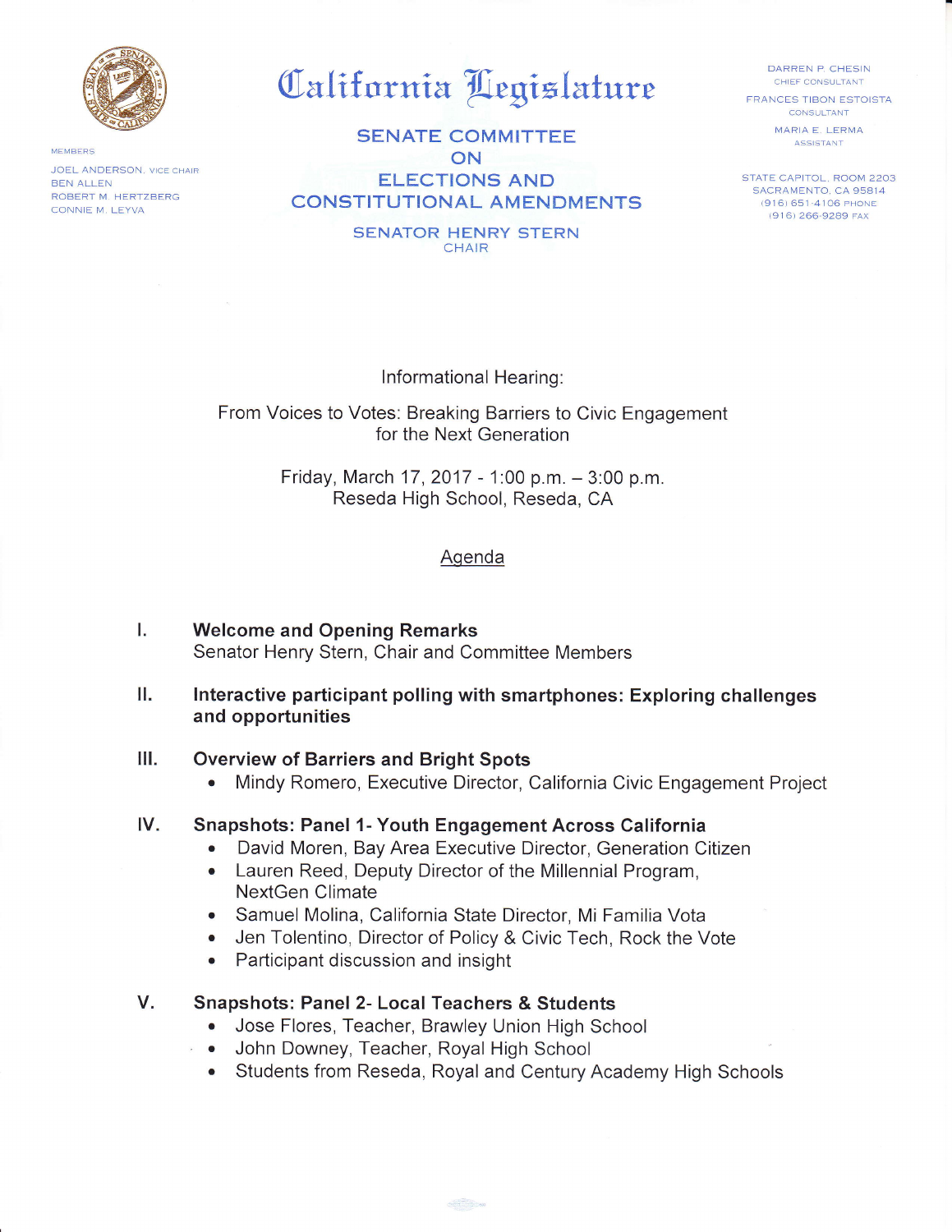

MEMBERS JOEL ANDERSON, VICE CHAIR **BEN ALLEN** ROBERT M. HERTZBERG CONNIE M. LEYVA

California Legislature

**SENATE COMMITTEE** ON **ELECTIONS AND CONSTITUTIONAL AMENDMENTS** 

> **SENATOR HENRY STERN** CHAIR

DARREN P. CHESIN CHIEF CONSULTANT

**FRANCES TIBON ESTOISTA CONSULTANT** MARIA E. LERMA ASSISTANT

STATE CAPITOL, ROOM 2203 SACRAMENTO, CA 95814 (916) 651-4106 PHONE (916) 266-9289 FAX

Informational Hearing:

From Voices to Votes: Breaking Barriers to Civic Engagement for the Next Generation

> Friday, March 17, 2017 - 1:00 p.m. - 3:00 p.m. Reseda High School, Reseda, CA

## Agenda

- L **Welcome and Opening Remarks** Senator Henry Stern, Chair and Committee Members
- ΙΙ. Interactive participant polling with smartphones: Exploring challenges and opportunities

#### Ш. **Overview of Barriers and Bright Spots**

Mindy Romero, Executive Director, California Civic Engagement Project  $\bullet$ 

### IV. **Snapshots: Panel 1- Youth Engagement Across California**

- David Moren, Bay Area Executive Director, Generation Citizen  $\bullet$
- Lauren Reed, Deputy Director of the Millennial Program,  $\bullet$ NextGen Climate
- Samuel Molina, California State Director, Mi Familia Vota  $\bullet$
- Jen Tolentino, Director of Policy & Civic Tech, Rock the Vote  $\bullet$
- Participant discussion and insight  $\bullet$

### V. **Snapshots: Panel 2- Local Teachers & Students**

- Jose Flores, Teacher, Brawley Union High School
- John Downey, Teacher, Royal High School
- Students from Reseda, Royal and Century Academy High Schools

 $\frac{1}{\sqrt{2}}$